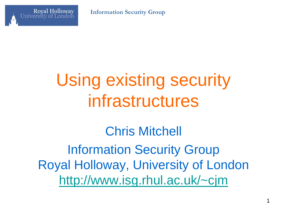



## Using existing security infrastructures

Chris Mitchell Information Security Group Royal Holloway, University of London <http://www.isg.rhul.ac.uk/~cjm>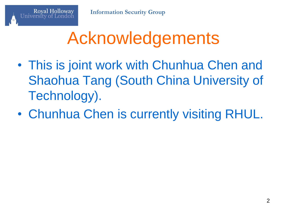## Acknowledgements

- This is joint work with Chunhua Chen and Shaohua Tang (South China University of Technology).
- Chunhua Chen is currently visiting RHUL.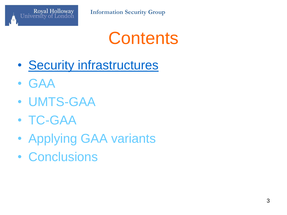

## **Contents**

- Security infrastructures
- GAA
- UMTS-GAA
- TC-GAA
- Applying GAA variants
- Conclusions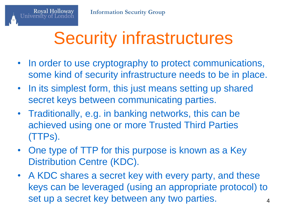## Security infrastructures

- In order to use cryptography to protect communications, some kind of security infrastructure needs to be in place.
- In its simplest form, this just means setting up shared secret keys between communicating parties.
- Traditionally, e.g. in banking networks, this can be achieved using one or more Trusted Third Parties (TTPs).
- One type of TTP for this purpose is known as a Key Distribution Centre (KDC).
- A KDC shares a secret key with every party, and these keys can be leveraged (using an appropriate protocol) to set up a secret key between any two parties.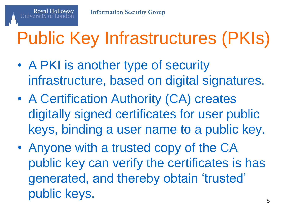# Public Key Infrastructures (PKIs)

- A PKI is another type of security infrastructure, based on digital signatures.
- A Certification Authority (CA) creates digitally signed certificates for user public keys, binding a user name to a public key.
- Anyone with a trusted copy of the CA public key can verify the certificates is has generated, and thereby obtain 'trusted' public keys.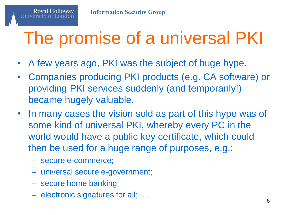## The promise of a universal PKI

- A few years ago, PKI was the subject of huge hype.
- Companies producing PKI products (e.g. CA software) or providing PKI services suddenly (and temporarily!) became hugely valuable.
- In many cases the vision sold as part of this hype was of some kind of universal PKI, whereby every PC in the world would have a public key certificate, which could then be used for a huge range of purposes, e.g.:
	- secure e-commerce;

**Royal Holloway** 

- universal secure e-government;
- secure home banking;
- electronic signatures for all; …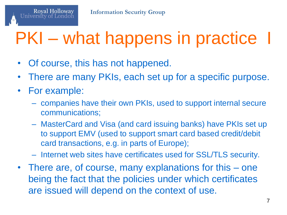## PKI – what happens in practice I

- Of course, this has not happened.
- There are many PKIs, each set up for a specific purpose.
- For example:

**Royal Holloway** 

- companies have their own PKIs, used to support internal secure communications;
- MasterCard and Visa (and card issuing banks) have PKIs set up to support EMV (used to support smart card based credit/debit card transactions, e.g. in parts of Europe);
- Internet web sites have certificates used for SSL/TLS security.
- There are, of course, many explanations for this one being the fact that the policies under which certificates are issued will depend on the context of use.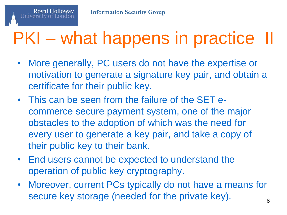## PKI – what happens in practice II

- More generally, PC users do not have the expertise or motivation to generate a signature key pair, and obtain a certificate for their public key.
- This can be seen from the failure of the SET ecommerce secure payment system, one of the major obstacles to the adoption of which was the need for every user to generate a key pair, and take a copy of their public key to their bank.
- End users cannot be expected to understand the operation of public key cryptography.
- Moreover, current PCs typically do not have a means for secure key storage (needed for the private key).  $\frac{8}{8}$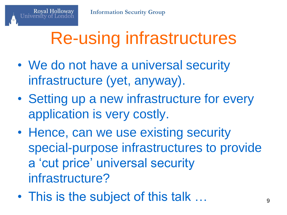## Re-using infrastructures

- We do not have a universal security infrastructure (yet, anyway).
- Setting up a new infrastructure for every application is very costly.
- Hence, can we use existing security special-purpose infrastructures to provide a 'cut price' universal security infrastructure?
- This is the subject of this talk  $\ldots$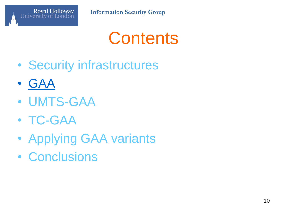

## **Contents**

- Security infrastructures
- GAA
- UMTS-GAA
- TC-GAA
- Applying GAA variants
- Conclusions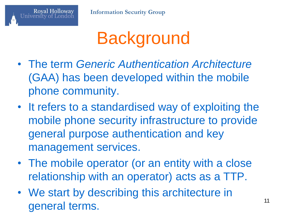

## **Background**

- The term *Generic Authentication Architecture* (GAA) has been developed within the mobile phone community.
- It refers to a standardised way of exploiting the mobile phone security infrastructure to provide general purpose authentication and key management services.
- The mobile operator (or an entity with a close relationship with an operator) acts as a TTP.
- We start by describing this architecture in general terms.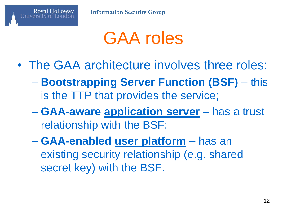

#### GAA roles

- The GAA architecture involves three roles:
	- **Bootstrapping Server Function (BSF)** this is the TTP that provides the service;
	- **GAA-aware application server** has a trust relationship with the BSF;
	- **GAA-enabled user platform** has an existing security relationship (e.g. shared secret key) with the BSF.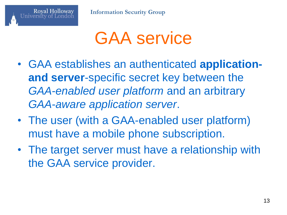

- GAA establishes an authenticated **applicationand server**-specific secret key between the *GAA-enabled user platform* and an arbitrary *GAA-aware application server*.
- The user (with a GAA-enabled user platform) must have a mobile phone subscription.
- The target server must have a relationship with the GAA service provider.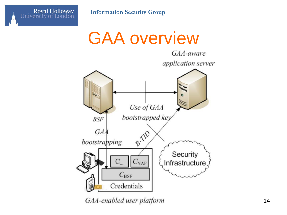

#### GAA overview



GAA-enabled user platform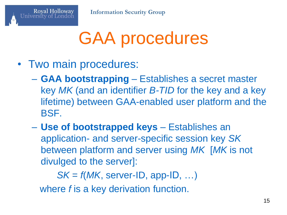## GAA procedures

• Two main procedures:

**Royal Holloway** 

- **GAA bootstrapping** Establishes a secret master key *MK* (and an identifier *B-TID* for the key and a key lifetime) between GAA-enabled user platform and the BSF.
- **Use of bootstrapped keys** Establishes an application- and server-specific session key *SK* between platform and server using *MK* [*MK* is not divulged to the server]:

*SK* = *f*(*MK*, server-ID, app-ID, …) where *f* is a key derivation function.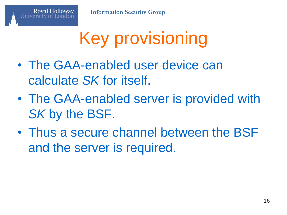**Royal Holloway** 

## Key provisioning

- The GAA-enabled user device can calculate *SK* for itself.
- The GAA-enabled server is provided with *SK* by the BSF.
- Thus a secure channel between the BSF and the server is required.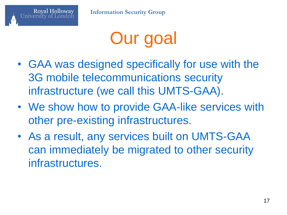

- GAA was designed specifically for use with the 3G mobile telecommunications security infrastructure (we call this UMTS-GAA).
- We show how to provide GAA-like services with other pre-existing infrastructures.
- As a result, any services built on UMTS-GAA can immediately be migrated to other security infrastructures.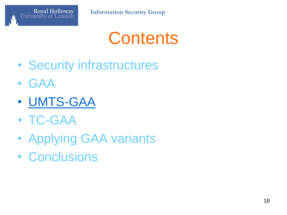

## **Contents**

- Security infrastructures
- GAA
- UMTS-GAA
- TC-GAA
- Applying GAA variants
- Conclusions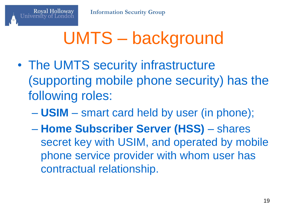## UMTS – background

- The UMTS security infrastructure (supporting mobile phone security) has the following roles:
	- **USIM** smart card held by user (in phone);
	- **Home Subscriber Server (HSS)** shares secret key with USIM, and operated by mobile phone service provider with whom user has contractual relationship.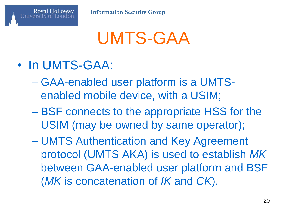## UMTS-GAA

• In UMTS-GAA:

**Royal Holloway** 

- GAA-enabled user platform is a UMTSenabled mobile device, with a USIM;
- BSF connects to the appropriate HSS for the USIM (may be owned by same operator);
- UMTS Authentication and Key Agreement protocol (UMTS AKA) is used to establish *MK* between GAA-enabled user platform and BSF (*MK* is concatenation of *IK* and *CK*).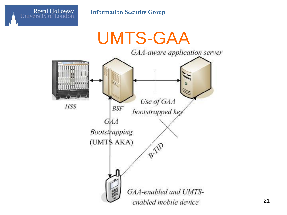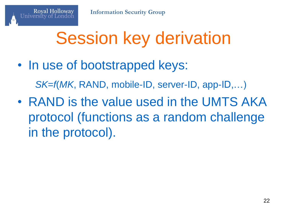## Session key derivation

• In use of bootstrapped keys:

**Royal Holloway** 

*SK*=*f*(*MK*, RAND, mobile-ID, server-ID, app-ID,…)

• RAND is the value used in the UMTS AKA protocol (functions as a random challenge in the protocol).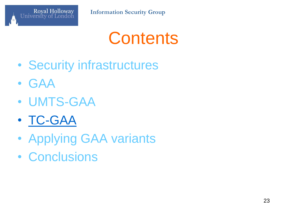

## **Contents**

- Security infrastructures
- GAA
- UMTS-GAA
- TC-GAA
- Applying GAA variants
- Conclusions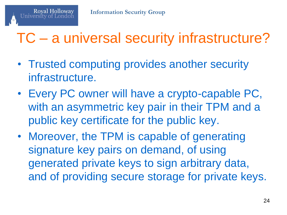#### TC – a universal security infrastructure?

- Trusted computing provides another security infrastructure.
- Every PC owner will have a crypto-capable PC, with an asymmetric key pair in their TPM and a public key certificate for the public key.
- Moreover, the TPM is capable of generating signature key pairs on demand, of using generated private keys to sign arbitrary data, and of providing secure storage for private keys.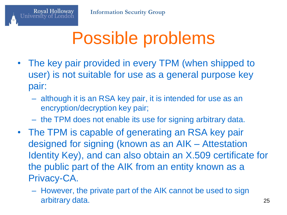## Possible problems

- The key pair provided in every TPM (when shipped to user) is not suitable for use as a general purpose key pair:
	- although it is an RSA key pair, it is intended for use as an encryption/decryption key pair;
	- the TPM does not enable its use for signing arbitrary data.
- The TPM is capable of generating an RSA key pair designed for signing (known as an AIK – Attestation Identity Key), and can also obtain an X.509 certificate for the public part of the AIK from an entity known as a Privacy-CA.
	- However, the private part of the AIK cannot be used to sign arbitrary data. 25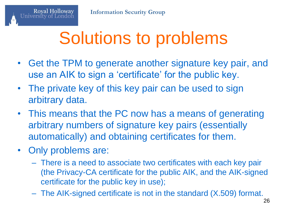## Solutions to problems

- Get the TPM to generate another signature key pair, and use an AIK to sign a 'certificate' for the public key.
- The private key of this key pair can be used to sign arbitrary data.
- This means that the PC now has a means of generating arbitrary numbers of signature key pairs (essentially automatically) and obtaining certificates for them.
- Only problems are:

**Royal Holloway** 

- There is a need to associate two certificates with each key pair (the Privacy-CA certificate for the public AIK, and the AIK-signed certificate for the public key in use);
- The AIK-signed certificate is not in the standard (X.509) format.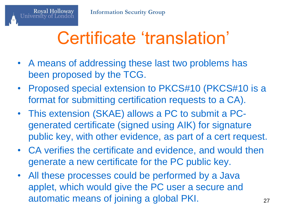## Certificate 'translation'

- A means of addressing these last two problems has been proposed by the TCG.
- Proposed special extension to PKCS#10 (PKCS#10 is a format for submitting certification requests to a CA).
- This extension (SKAE) allows a PC to submit a PCgenerated certificate (signed using AIK) for signature public key, with other evidence, as part of a cert request.
- CA verifies the certificate and evidence, and would then generate a new certificate for the PC public key.
- All these processes could be performed by a Java applet, which would give the PC user a secure and automatic means of joining a global PKI.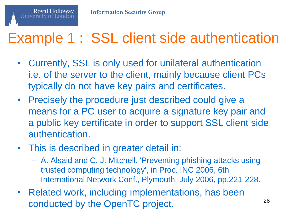

#### Example 1 : SSL client side authentication

- Currently, SSL is only used for unilateral authentication i.e. of the server to the client, mainly because client PCs typically do not have key pairs and certificates.
- Precisely the procedure just described could give a means for a PC user to acquire a signature key pair and a public key certificate in order to support SSL client side authentication.
- This is described in greater detail in:
	- A. Alsaid and C. J. Mitchell, 'Preventing phishing attacks using trusted computing technology', in Proc. INC 2006, 6th International Network Conf., Plymouth, July 2006, pp.221-228.
- Related work, including implementations, has been conducted by the OpenTC project. 28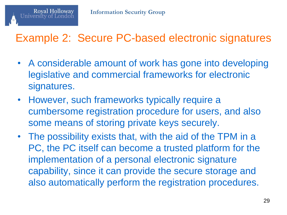

#### Example 2: Secure PC-based electronic signatures

- A considerable amount of work has gone into developing legislative and commercial frameworks for electronic signatures.
- However, such frameworks typically require a cumbersome registration procedure for users, and also some means of storing private keys securely.
- The possibility exists that, with the aid of the TPM in a PC, the PC itself can become a trusted platform for the implementation of a personal electronic signature capability, since it can provide the secure storage and also automatically perform the registration procedures.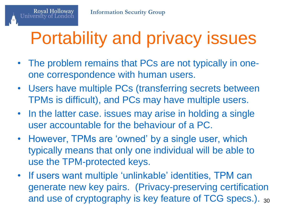## Portability and privacy issues

- The problem remains that PCs are not typically in oneone correspondence with human users.
- Users have multiple PCs (transferring secrets between TPMs is difficult), and PCs may have multiple users.
- In the latter case. issues may arise in holding a single user accountable for the behaviour of a PC.
- However, TPMs are 'owned' by a single user, which typically means that only one individual will be able to use the TPM-protected keys.
- If users want multiple 'unlinkable' identities, TPM can generate new key pairs. (Privacy-preserving certification and use of cryptography is key feature of TCG specs.). <sup>30</sup>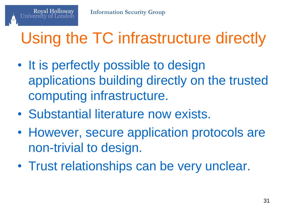## Using the TC infrastructure directly

- It is perfectly possible to design applications building directly on the trusted computing infrastructure.
- Substantial literature now exists.
- However, secure application protocols are non-trivial to design.
- Trust relationships can be very unclear.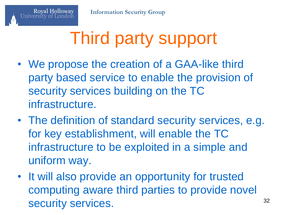## Third party support

- We propose the creation of a GAA-like third party based service to enable the provision of security services building on the TC infrastructure.
- The definition of standard security services, e.g. for key establishment, will enable the TC infrastructure to be exploited in a simple and uniform way.
- It will also provide an opportunity for trusted computing aware third parties to provide novel security services. 32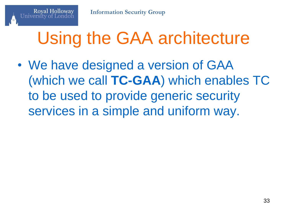## Using the GAA architecture

• We have designed a version of GAA (which we call **TC-GAA**) which enables TC to be used to provide generic security services in a simple and uniform way.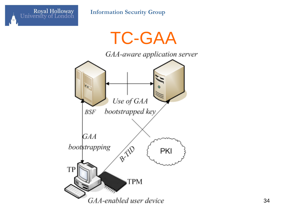

TC-GAA

GAA-aware application server

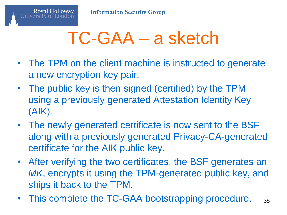## TC-GAA – a sketch

- The TPM on the client machine is instructed to generate a new encryption key pair.
- The public key is then signed (certified) by the TPM using a previously generated Attestation Identity Key (AIK).
- The newly generated certificate is now sent to the BSF along with a previously generated Privacy-CA-generated certificate for the AIK public key.
- After verifying the two certificates, the BSF generates an *MK*, encrypts it using the TPM-generated public key, and ships it back to the TPM.
- This complete the TC-GAA bootstrapping procedure. <sub>35</sub>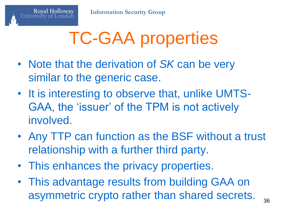## TC-GAA properties

- Note that the derivation of *SK* can be very similar to the generic case.
- It is interesting to observe that, unlike UMTS-GAA, the 'issuer' of the TPM is not actively involved.
- Any TTP can function as the BSF without a trust relationship with a further third party.
- This enhances the privacy properties.
- This advantage results from building GAA on asymmetric crypto rather than shared secrets.  $_{36}$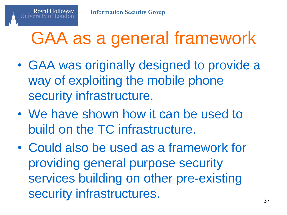## GAA as a general framework

- GAA was originally designed to provide a way of exploiting the mobile phone security infrastructure.
- We have shown how it can be used to build on the TC infrastructure.
- Could also be used as a framework for providing general purpose security services building on other pre-existing security infrastructures.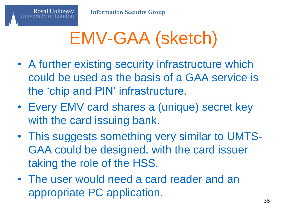## EMV-GAA (sketch)

- A further existing security infrastructure which could be used as the basis of a GAA service is the 'chip and PIN' infrastructure.
- Every EMV card shares a (unique) secret key with the card issuing bank.
- This suggests something very similar to UMTS-GAA could be designed, with the card issuer taking the role of the HSS.
- The user would need a card reader and an appropriate PC application.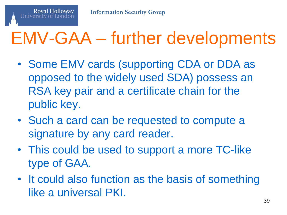

## EMV-GAA – further developments

- Some EMV cards (supporting CDA or DDA as opposed to the widely used SDA) possess an RSA key pair and a certificate chain for the public key.
- Such a card can be requested to compute a signature by any card reader.
- This could be used to support a more TC-like type of GAA.
- It could also function as the basis of something like a universal PKI.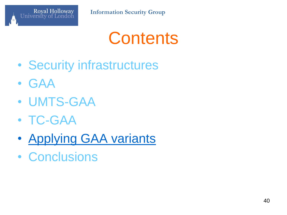

## **Contents**

- Security infrastructures
- GAA
- UMTS-GAA
- TC-GAA
- Applying GAA variants
- Conclusions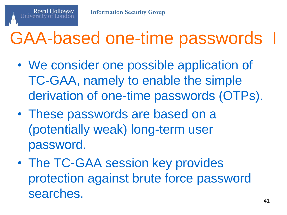## GAA-based one-time passwords

- We consider one possible application of TC-GAA, namely to enable the simple derivation of one-time passwords (OTPs).
- These passwords are based on a (potentially weak) long-term user password.
- The TC-GAA session key provides protection against brute force password searches.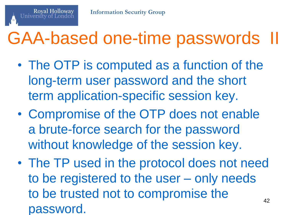## GAA-based one-time passwords II

- The OTP is computed as a function of the long-term user password and the short term application-specific session key.
- Compromise of the OTP does not enable a brute-force search for the password without knowledge of the session key.
- The TP used in the protocol does not need to be registered to the user – only needs to be trusted not to compromise the password. 42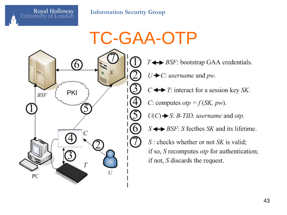

Royal Holloway

University of London

TC-GAA-OTP  $T \leftrightarrow BSF$ : bootstrap GAA credentials.  $U \rightarrow C$ : *username* and *pw*.  $C \leftrightarrow T$ : interact for a session key *SK*. C: computes  $otp = f(SK, pw)$ .  $U(C) \rightarrow S$ : *B-TID*, *username* and *otp*.  $S \leftrightarrow BSF$ : S fecthes SK and its lifetime.  $S$ : checks whether or not  $SK$  is valid; if so, S recomputes *otp* for authentication; if not,  $S$  discards the request.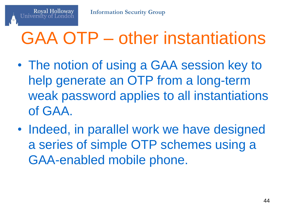## GAA OTP – other instantiations

- The notion of using a GAA session key to help generate an OTP from a long-term weak password applies to all instantiations of GAA.
- Indeed, in parallel work we have designed a series of simple OTP schemes using a GAA-enabled mobile phone.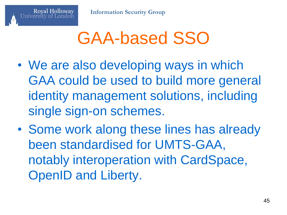**Royal Holloway** 

## GAA-based SSO

- We are also developing ways in which GAA could be used to build more general identity management solutions, including single sign-on schemes.
- Some work along these lines has already been standardised for UMTS-GAA, notably interoperation with CardSpace, OpenID and Liberty.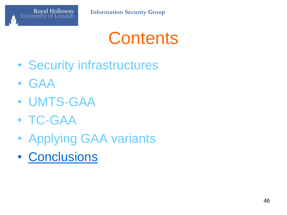

## **Contents**

- Security infrastructures
- GAA
- UMTS-GAA
- TC-GAA
- Applying GAA variants
- Conclusions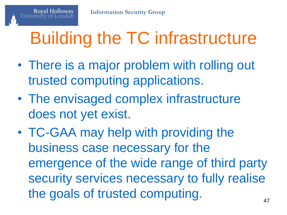## Building the TC infrastructure

- There is a major problem with rolling out trusted computing applications.
- The envisaged complex infrastructure does not yet exist.
- TC-GAA may help with providing the business case necessary for the emergence of the wide range of third party security services necessary to fully realise the goals of trusted computing.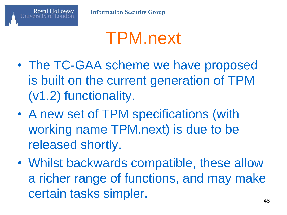## TPM.next

- The TC-GAA scheme we have proposed is built on the current generation of TPM (v1.2) functionality.
- A new set of TPM specifications (with working name TPM.next) is due to be released shortly.
- Whilst backwards compatible, these allow a richer range of functions, and may make certain tasks simpler.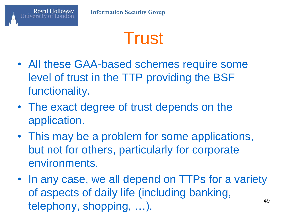

- All these GAA-based schemes require some level of trust in the TTP providing the BSF functionality.
- The exact degree of trust depends on the application.
- This may be a problem for some applications, but not for others, particularly for corporate environments.
- In any case, we all depend on TTPs for a variety of aspects of daily life (including banking, telephony, shopping, ...).